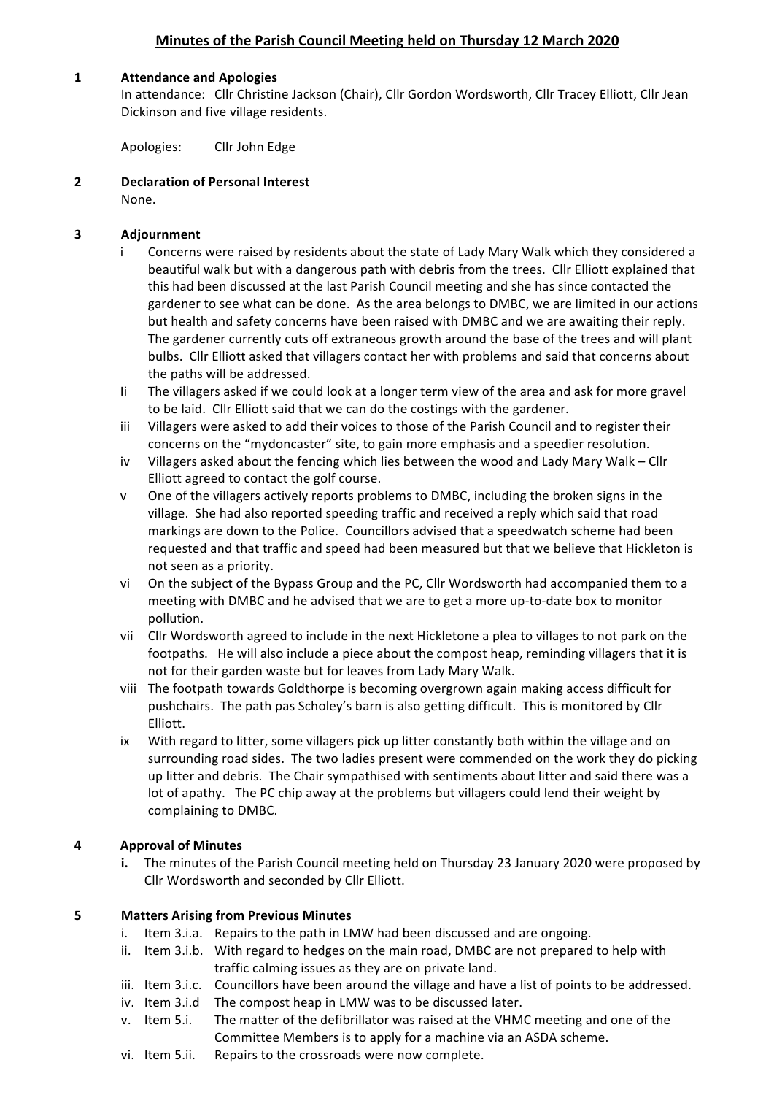# **Minutes of the Parish Council Meeting held on Thursday 12 March 2020**

#### **1 Attendance and Apologies**

In attendance: Cllr Christine Jackson (Chair), Cllr Gordon Wordsworth, Cllr Tracey Elliott, Cllr Jean Dickinson and five village residents.

Apologies: Cllr John Edge

**2 Declaration of Personal Interest** None.

### **3 Adjournment**

- Concerns were raised by residents about the state of Lady Mary Walk which they considered a beautiful walk but with a dangerous path with debris from the trees. Cllr Elliott explained that this had been discussed at the last Parish Council meeting and she has since contacted the gardener to see what can be done. As the area belongs to DMBC, we are limited in our actions but health and safety concerns have been raised with DMBC and we are awaiting their reply. The gardener currently cuts off extraneous growth around the base of the trees and will plant bulbs. Cllr Elliott asked that villagers contact her with problems and said that concerns about the paths will be addressed.
- Ii The villagers asked if we could look at a longer term view of the area and ask for more gravel to be laid. Cllr Elliott said that we can do the costings with the gardener.
- iii Villagers were asked to add their voices to those of the Parish Council and to register their concerns on the "mydoncaster" site, to gain more emphasis and a speedier resolution.
- iv Villagers asked about the fencing which lies between the wood and Lady Mary Walk Cllr Elliott agreed to contact the golf course.
- v One of the villagers actively reports problems to DMBC, including the broken signs in the village. She had also reported speeding traffic and received a reply which said that road markings are down to the Police. Councillors advised that a speedwatch scheme had been requested and that traffic and speed had been measured but that we believe that Hickleton is not seen as a priority.
- vi On the subject of the Bypass Group and the PC, Cllr Wordsworth had accompanied them to a meeting with DMBC and he advised that we are to get a more up-to-date box to monitor pollution.
- vii Cllr Wordsworth agreed to include in the next Hickletone a plea to villages to not park on the footpaths. He will also include a piece about the compost heap, reminding villagers that it is not for their garden waste but for leaves from Lady Mary Walk.
- viii The footpath towards Goldthorpe is becoming overgrown again making access difficult for pushchairs. The path pas Scholey's barn is also getting difficult. This is monitored by Cllr Elliott.
- ix With regard to litter, some villagers pick up litter constantly both within the village and on surrounding road sides. The two ladies present were commended on the work they do picking up litter and debris. The Chair sympathised with sentiments about litter and said there was a lot of apathy. The PC chip away at the problems but villagers could lend their weight by complaining to DMBC.

#### **4 Approval of Minutes**

**i.** The minutes of the Parish Council meeting held on Thursday 23 January 2020 were proposed by Cllr Wordsworth and seconded by Cllr Elliott.

#### **5 Matters Arising from Previous Minutes**

- i. Item 3.i.a. Repairs to the path in LMW had been discussed and are ongoing.
- ii. Item 3.i.b. With regard to hedges on the main road, DMBC are not prepared to help with traffic calming issues as they are on private land.
- iii. Item 3.i.c. Councillors have been around the village and have a list of points to be addressed.
- iv. Item 3.i.d The compost heap in LMW was to be discussed later.
- v. Item 5.i. The matter of the defibrillator was raised at the VHMC meeting and one of the Committee Members is to apply for a machine via an ASDA scheme.
- vi. Item 5.ii. Repairs to the crossroads were now complete.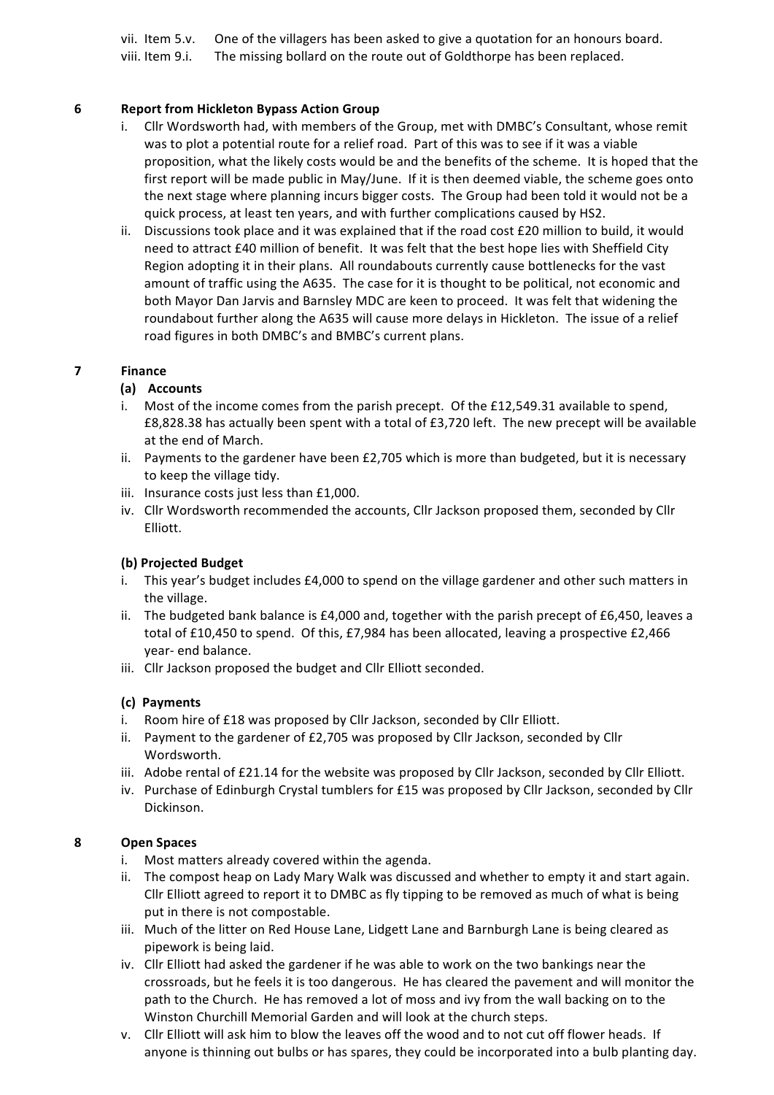vii. Item 5.v. One of the villagers has been asked to give a quotation for an honours board. viii. Item 9.i. The missing bollard on the route out of Goldthorpe has been replaced.

#### **6 Report from Hickleton Bypass Action Group**

- i. Cllr Wordsworth had, with members of the Group, met with DMBC's Consultant, whose remit was to plot a potential route for a relief road. Part of this was to see if it was a viable proposition, what the likely costs would be and the benefits of the scheme. It is hoped that the first report will be made public in May/June. If it is then deemed viable, the scheme goes onto the next stage where planning incurs bigger costs. The Group had been told it would not be a quick process, at least ten years, and with further complications caused by HS2.
- ii. Discussions took place and it was explained that if the road cost  $£20$  million to build, it would need to attract £40 million of benefit. It was felt that the best hope lies with Sheffield City Region adopting it in their plans. All roundabouts currently cause bottlenecks for the vast amount of traffic using the A635. The case for it is thought to be political, not economic and both Mayor Dan Jarvis and Barnsley MDC are keen to proceed. It was felt that widening the roundabout further along the A635 will cause more delays in Hickleton. The issue of a relief road figures in both DMBC's and BMBC's current plans.

### **7 Finance**

### **(a) Accounts**

- i. Most of the income comes from the parish precept. Of the £12,549.31 available to spend, £8,828.38 has actually been spent with a total of £3,720 left. The new precept will be available at the end of March.
- ii. Payments to the gardener have been  $£2,705$  which is more than budgeted, but it is necessary to keep the village tidy.
- iii. Insurance costs just less than £1,000.
- iv. Cllr Wordsworth recommended the accounts, Cllr Jackson proposed them, seconded by Cllr Elliott.

#### **(b) Projected Budget**

- i. This year's budget includes £4,000 to spend on the village gardener and other such matters in the village.
- ii. The budgeted bank balance is  $£4,000$  and, together with the parish precept of  $£6,450$ , leaves a total of £10,450 to spend. Of this, £7,984 has been allocated, leaving a prospective £2,466 year- end balance.
- iii. Cllr Jackson proposed the budget and Cllr Elliott seconded.

#### **(c) Payments**

- i. Room hire of £18 was proposed by Cllr Jackson, seconded by Cllr Elliott.
- ii. Payment to the gardener of  $£2,705$  was proposed by Cllr Jackson, seconded by Cllr Wordsworth.
- iii. Adobe rental of £21.14 for the website was proposed by Cllr Jackson, seconded by Cllr Elliott.
- iv. Purchase of Edinburgh Crystal tumblers for £15 was proposed by Cllr Jackson, seconded by Cllr Dickinson.

#### **8 Open Spaces**

- i. Most matters already covered within the agenda.
- ii. The compost heap on Lady Mary Walk was discussed and whether to empty it and start again. Cllr Elliott agreed to report it to DMBC as fly tipping to be removed as much of what is being put in there is not compostable.
- iii. Much of the litter on Red House Lane, Lidgett Lane and Barnburgh Lane is being cleared as pipework is being laid.
- iv. Cllr Elliott had asked the gardener if he was able to work on the two bankings near the crossroads, but he feels it is too dangerous. He has cleared the pavement and will monitor the path to the Church. He has removed a lot of moss and ivy from the wall backing on to the Winston Churchill Memorial Garden and will look at the church steps.
- v. Cllr Elliott will ask him to blow the leaves off the wood and to not cut off flower heads. If anyone is thinning out bulbs or has spares, they could be incorporated into a bulb planting day.